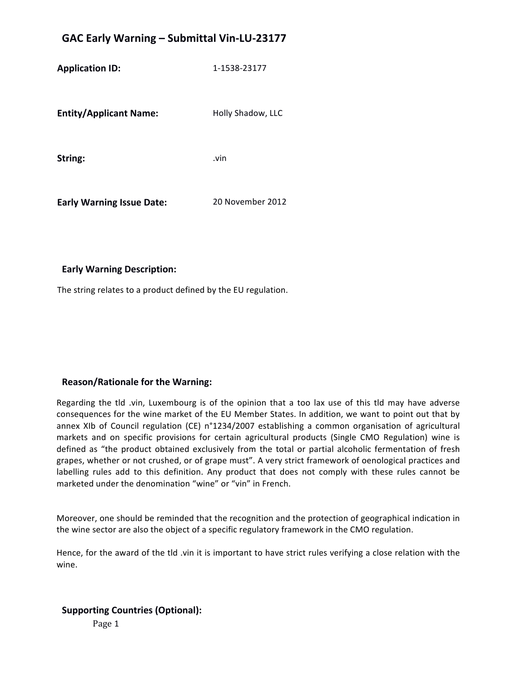## **GAC Early Warning – Submittal Vin-LU-23177**

**Application ID:** 1-1538-23177 **Entity/Applicant Name:** Holly Shadow, LLC **String:**  .vin **Early Warning Issue Date:** 20 November 2012

#### **Early Warning Description:**

The string relates to a product defined by the EU regulation.

#### **Reason/Rationale for the Warning:**

Regarding the tld .vin, Luxembourg is of the opinion that a too lax use of this tld may have adverse consequences for the wine market of the EU Member States. In addition, we want to point out that by annex XIb of Council regulation (CE) n°1234/2007 establishing a common organisation of agricultural markets and on specific provisions for certain agricultural products (Single CMO Regulation) wine is defined as "the product obtained exclusively from the total or partial alcoholic fermentation of fresh grapes, whether or not crushed, or of grape must". A very strict framework of oenological practices and labelling rules add to this definition. Any product that does not comply with these rules cannot be marketed under the denomination "wine" or "vin" in French.

Moreover, one should be reminded that the recognition and the protection of geographical indication in the wine sector are also the object of a specific regulatory framework in the CMO regulation.

Hence, for the award of the tld .vin it is important to have strict rules verifying a close relation with the wine.

#### **Supporting Countries (Optional):**

Page 1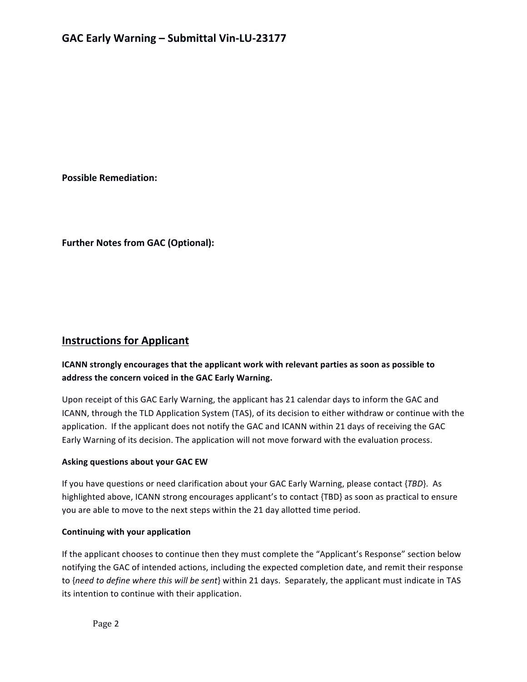**Possible Remediation:** 

**Further Notes from GAC (Optional):** 

### **Instructions for Applicant**

#### **ICANN** strongly encourages that the applicant work with relevant parties as soon as possible to address the concern voiced in the GAC Early Warning.

Upon receipt of this GAC Early Warning, the applicant has 21 calendar days to inform the GAC and ICANN, through the TLD Application System (TAS), of its decision to either withdraw or continue with the application. If the applicant does not notify the GAC and ICANN within 21 days of receiving the GAC Early Warning of its decision. The application will not move forward with the evaluation process.

#### **Asking questions about your GAC EW**

If you have questions or need clarification about your GAC Early Warning, please contact {*TBD*}. As highlighted above, ICANN strong encourages applicant's to contact {TBD} as soon as practical to ensure you are able to move to the next steps within the 21 day allotted time period.

#### **Continuing with your application**

If the applicant chooses to continue then they must complete the "Applicant's Response" section below notifying the GAC of intended actions, including the expected completion date, and remit their response to {need to define where this will be sent} within 21 days. Separately, the applicant must indicate in TAS its intention to continue with their application.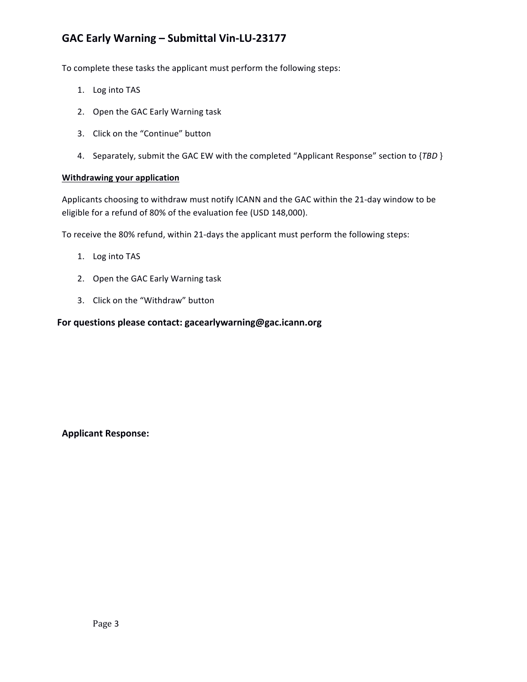## GAC Early Warning - Submittal Vin-LU-23177

To complete these tasks the applicant must perform the following steps:

- 1. Log into TAS
- 2. Open the GAC Early Warning task
- 3. Click on the "Continue" button
- 4. Separately, submit the GAC EW with the completed "Applicant Response" section to {TBD }

#### **Withdrawing your application**

Applicants choosing to withdraw must notify ICANN and the GAC within the 21-day window to be eligible for a refund of 80% of the evaluation fee (USD 148,000).

To receive the 80% refund, within 21-days the applicant must perform the following steps:

- 1. Log into TAS
- 2. Open the GAC Early Warning task
- 3. Click on the "Withdraw" button

#### For questions please contact: gacearlywarning@gac.icann.org

**Applicant Response:**